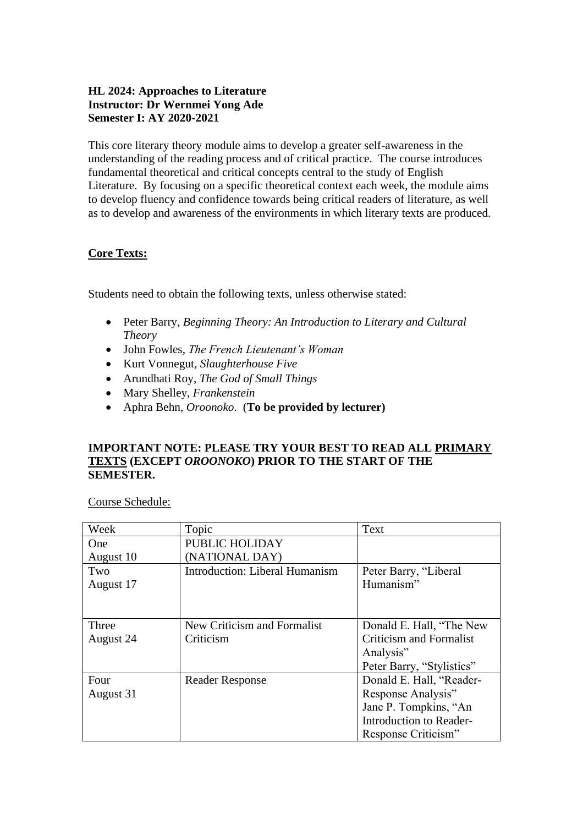## **HL 2024: Approaches to Literature Instructor: Dr Wernmei Yong Ade Semester I: AY 2020-2021**

This core literary theory module aims to develop a greater self-awareness in the understanding of the reading process and of critical practice. The course introduces fundamental theoretical and critical concepts central to the study of English Literature. By focusing on a specific theoretical context each week, the module aims to develop fluency and confidence towards being critical readers of literature, as well as to develop and awareness of the environments in which literary texts are produced.

### **Core Texts:**

Students need to obtain the following texts, unless otherwise stated:

- Peter Barry, *Beginning Theory: An Introduction to Literary and Cultural Theory*
- John Fowles, *The French Lieutenant's Woman*
- Kurt Vonnegut, *Slaughterhouse Five*
- Arundhati Roy, *The God of Small Things*
- Mary Shelley, *Frankenstein*
- Aphra Behn, *Oroonoko*. (**To be provided by lecturer)**

### **IMPORTANT NOTE: PLEASE TRY YOUR BEST TO READ ALL PRIMARY TEXTS (EXCEPT** *OROONOKO***) PRIOR TO THE START OF THE SEMESTER.**

Course Schedule:

| Week       | Topic                                 | Text                           |
|------------|---------------------------------------|--------------------------------|
| <b>One</b> | PUBLIC HOLIDAY                        |                                |
| August 10  | (NATIONAL DAY)                        |                                |
| Two        | <b>Introduction: Liberal Humanism</b> | Peter Barry, "Liberal          |
| August 17  |                                       | Humanism"                      |
|            |                                       |                                |
|            |                                       |                                |
| Three      | New Criticism and Formalist           | Donald E. Hall, "The New       |
| August 24  | Criticism                             | <b>Criticism and Formalist</b> |
|            |                                       | Analysis"                      |
|            |                                       | Peter Barry, "Stylistics"      |
| Four       | <b>Reader Response</b>                | Donald E. Hall, "Reader-       |
| August 31  |                                       | Response Analysis"             |
|            |                                       | Jane P. Tompkins, "An          |
|            |                                       | Introduction to Reader-        |
|            |                                       | Response Criticism"            |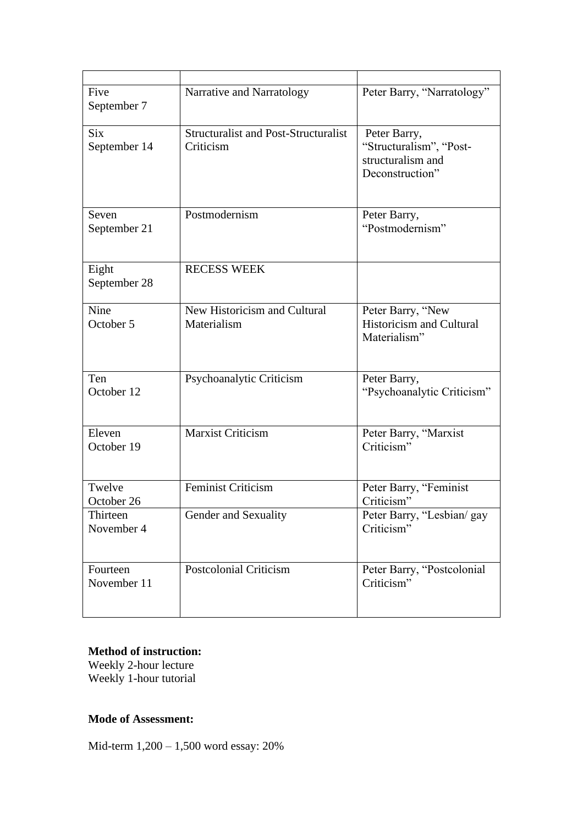| Five<br>September 7        | Narrative and Narratology                                | Peter Barry, "Narratology"                                                      |
|----------------------------|----------------------------------------------------------|---------------------------------------------------------------------------------|
| <b>Six</b><br>September 14 | <b>Structuralist and Post-Structuralist</b><br>Criticism | Peter Barry,<br>"Structuralism", "Post-<br>structuralism and<br>Deconstruction" |
| Seven<br>September 21      | Postmodernism                                            | Peter Barry,<br>"Postmodernism"                                                 |
| Eight<br>September 28      | <b>RECESS WEEK</b>                                       |                                                                                 |
| Nine<br>October 5          | New Historicism and Cultural<br>Materialism              | Peter Barry, "New<br><b>Historicism and Cultural</b><br>Materialism"            |
| Ten<br>October 12          | Psychoanalytic Criticism                                 | Peter Barry,<br>"Psychoanalytic Criticism"                                      |
| Eleven<br>October 19       | <b>Marxist Criticism</b>                                 | Peter Barry, "Marxist<br>Criticism"                                             |
| Twelve<br>October 26       | <b>Feminist Criticism</b>                                | Peter Barry, "Feminist<br>Criticism"                                            |
| Thirteen<br>November 4     | Gender and Sexuality                                     | Peter Barry, "Lesbian/ gay<br>Criticism"                                        |
| Fourteen<br>November 11    | <b>Postcolonial Criticism</b>                            | Peter Barry, "Postcolonial<br>Criticism"                                        |

# **Method of instruction:**

Weekly 2-hour lecture Weekly 1-hour tutorial

## **Mode of Assessment:**

Mid-term 1,200 – 1,500 word essay: 20%